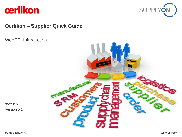



## **Oerlikon – Supplier Quick Guide**

WebEDI Introduction



05/2015 Version 0.1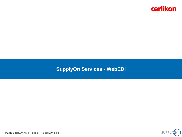

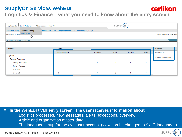# cerlikon

**Logistics & Finance – what you need to know about the entry screen**

| SupplyOn Services   Administration   Log Out<br>My SupplyOn |                                                             |            | <b>SUPPI</b> |          |          |                                      |
|-------------------------------------------------------------|-------------------------------------------------------------|------------|--------------|----------|----------|--------------------------------------|
| <b>TEST SYSTEM (C Business Directory</b>                    | Derlikon OMF OBA - Düspohl (Acceptance Oerlikon QAS), Sonja |            |              |          |          |                                      |
| My SupplyOn > Logis WebEDI / VMI<br>$\mathcal{L}_{\mu}$     |                                                             |            |              |          |          | Contact   Help for this page   Print |
| acceptance-oerlikon-cpm-sdu                                 |                                                             |            |              |          |          |                                      |
| Processes                                                   | <b>Alerts</b><br>New Messages                               | Exceptions | (High        | Medium   | Low)     | Summary<br><b>Alert Overview</b>     |
| Logistics                                                   |                                                             |            |              |          |          | <b>Custom user settings</b>          |
| <b>Demand Processes</b>                                     |                                                             |            |              |          |          |                                      |
| <b>Delivery Instructions</b>                                |                                                             | $\bf{0}$   | $\bf{0}$     | 0        | $\bf{0}$ |                                      |
| <b>Delivery Forecast</b>                                    |                                                             |            |              |          |          |                                      |
| JIT Call-off                                                |                                                             |            |              |          |          |                                      |
| Orders $\Xi$                                                | 10                                                          | 0          | $\mathbf 0$  | $\bf{0}$ | $\bf{0}$ |                                      |

**In the WebEDI / VMI entry screen, the user receives information about:**

- Logistics processes, new messages, alerts (exceptions, overview)
- Article and organization master data
- The language setup for the own user account (view can be changed to 9 diff. languages)

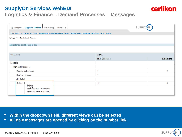## **SupplyOn Services WebEDI Logistics & Finance – Demand Processes – Messages**



**Within the dropdown field, different views can be selected**

**All new messages are opened by clicking on the number link**



cerlikon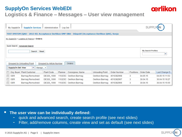## **SupplyOn Services WebEDI Logistics & Finance – Messages – User view management**

| <b>SUPPLY</b><br>My SupplyOn<br><b>SupplyOn Services</b><br>Administration<br>Log Out                           |            |         |                         |                        |              |           |            |                |  |  |  |
|-----------------------------------------------------------------------------------------------------------------|------------|---------|-------------------------|------------------------|--------------|-----------|------------|----------------|--|--|--|
| TEST SYSTEM (QAS - 2013-B): Acceptance Oerlikon OMF OBA - Düspohl (Acceptance Oerlikon QAS), Sonja              |            |         |                         |                        |              |           |            |                |  |  |  |
| My SupplyOn > Logistics & Finance > Orders                                                                      |            |         |                         |                        |              |           |            |                |  |  |  |
| Quick Search<br><b>Advanced Search</b>                                                                          |            |         |                         |                        |              |           |            |                |  |  |  |
| <b>My Search Profiles</b><br>Reset<br>Search<br>×                                                               |            |         |                         |                        |              |           |            |                |  |  |  |
| Grouped by Unloading Point<br>Grouped by Article Number<br>Orders<br>×<br><b>SupplyOn Def. View</b><br>Manage • |            |         |                         |                        |              |           |            |                |  |  |  |
| $\Box$<br>Org. Buyer Plant Customer                                                                             | Plant Code | Planner | Consignee, Name         | <b>Unloading Point</b> | Order Number | Positions | Order Date | Last Change D  |  |  |  |
| $\Box$<br><b>OER</b><br>Barmag Remscheid                                                                        | DE320 1000 |         | 110;ESC Oerlikon Barmag | Oerlikon Barmag        | 4510382968   | 3         | 04.05.15   | 04.05.15 11:53 |  |  |  |
| $\Box$<br><b>OER</b><br>Barmag Remscheid                                                                        | DE320_1000 |         | 110;ESC Oerlikon Barmag | Oerlikon Barmag        | 4510382967   | 3         | 30.04.15   | 30.04.15 16:27 |  |  |  |
| <b>OER</b><br>Barmag Remscheid                                                                                  | DE320 1000 |         | 110;ESC Oerlikon Barmag | Oerlikon Barmag        | 4510382966   | 3         | 30.04.15   | 30.04.15 15:55 |  |  |  |

**The user view can be individually defined:**

- quick and advanced search, create search profile (see next slides)
- Filter, add/remove columns, create view and set as default (see next slides)



cerlikon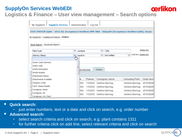

#### **Logistics & Finance – User view management – Search options**

| <b>SupplyOn Services</b><br>My SupplyOn                                                            | Administration        | <b>Log Out</b> |        |                                                         |  |                        |             |  |
|----------------------------------------------------------------------------------------------------|-----------------------|----------------|--------|---------------------------------------------------------|--|------------------------|-------------|--|
| TEST SYSTEM (QAS - 2013-B): Acceptance Oerlikon OMF OBA - Düspohl (Acceptance Oerlikon QAS), Sonja |                       |                |        |                                                         |  |                        |             |  |
| My SupplyOn > Logistics & Finance > Orders                                                         |                       |                |        |                                                         |  |                        |             |  |
| <b>Advanced Search</b><br>Quick Search                                                             |                       |                |        |                                                         |  |                        |             |  |
| <b>Plant Code</b>                                                                                  | v<br>contains         |                | v      | 1000                                                    |  |                        | Delete line |  |
| <b>Delivery Status</b>                                                                             | v<br>equal to<br>لس ا |                | ▾      | Add line   Delete line<br>$\mathbf{v}$<br>Not fulfilled |  |                        |             |  |
| <b>Action Code Summary</b>                                                                         |                       |                |        |                                                         |  |                        |             |  |
| Action code                                                                                        | Ξ                     |                |        |                                                         |  |                        |             |  |
| Article Description                                                                                |                       | cle Number     | Orders |                                                         |  |                        |             |  |
| <b>Article Number</b>                                                                              |                       |                |        |                                                         |  |                        |             |  |
| <b>Attachment Status</b>                                                                           |                       |                |        |                                                         |  |                        |             |  |
| Attachments Available                                                                              | te.                   | <b>Planner</b> |        | Consignee, Name                                         |  | <b>Unloading Point</b> | Order Num   |  |
| Company Code                                                                                       | 000                   |                |        | 110:ESC Oerlikon Barmag                                 |  | Oerlikon Barmag        | 451038296   |  |
| Conf. Status Header                                                                                | 000                   |                |        | 110;ESC Oerlikon Barmag                                 |  | Oerlikon Barmag        | 451038296   |  |
| Consignee, Name                                                                                    | 000                   |                |        | 110;ESC Oerlikon Barmag                                 |  | Oerlikon Barmag        | 451038296   |  |
| Consignee, No.                                                                                     | 000                   |                |        | 110:ESC Oerlikon Barmag                                 |  | Oerlikon Barmag        | 451038296   |  |
| Consignee, Unl. Point                                                                              |                       |                |        |                                                         |  |                        |             |  |

#### **Quick search:**

- just enter numbers, text or a date and click on search, e.g. order number
- **Advanced search:** 
	- select search criteria and click on search, e.g. plant contains 1311
	- for further criteria click on add line, select relevant criteria and click on search

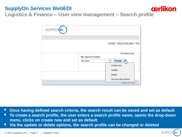

**Logistics & Finance – User view management – Search profile**

| SUPPLYON |                           |                                                  |
|----------|---------------------------|--------------------------------------------------|
|          |                           |                                                  |
|          |                           | Contact   Help for this page   Print             |
|          |                           |                                                  |
|          | <b>My Search Profiles</b> | <b>Hide Search Area</b>                          |
|          | My View                   | Manage am<br>v                                   |
|          |                           | Create new                                       |
|          |                           | Update                                           |
|          |                           | <b>Delete</b>                                    |
|          |                           | Set as/unset default<br><b>Reset all Filters</b> |

- **Once having defined search criteria, the search result can be saved and set as default**
- **To create a search profile, the user enters a search profile name, opens the drop-down menu, clicks on create new and set as default**
- **Via the update or delete options, the search profile can be changed or deleted**

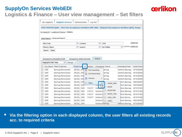#### **Logistics & Finance – User view management – Set filters**

| <b>My SupplyOn</b>                                                                                 | <b>SupplyOn Services</b>          |            | Administration             | Log Out         |                        |                |               |   |                             |            |  |
|----------------------------------------------------------------------------------------------------|-----------------------------------|------------|----------------------------|-----------------|------------------------|----------------|---------------|---|-----------------------------|------------|--|
| TEST SYSTEM (OAS - 2013-B): Acceptance Oerlikon OMF OBA - Düspohl (Acceptance Oerlikon OAS), Sonja |                                   |            |                            |                 |                        |                |               |   |                             |            |  |
| My SupplyOn > Logistics & Finance > Orders                                                         |                                   |            |                            |                 |                        |                |               |   |                             |            |  |
|                                                                                                    |                                   |            |                            |                 |                        |                |               |   |                             |            |  |
| Advanced Search<br>Quick Search                                                                    |                                   |            |                            |                 |                        |                |               |   |                             |            |  |
| Delete line<br>v<br>v<br><b>Plant Code</b><br>1000<br>contains                                     |                                   |            |                            |                 |                        |                |               |   |                             |            |  |
| <b>Delivery Status</b>                                                                             |                                   | v          | equal to                   |                 | v                      |                | Not fulfilled | v | Add line   Delete line      |            |  |
| Reset<br>Search                                                                                    |                                   |            |                            |                 |                        |                |               |   |                             |            |  |
|                                                                                                    |                                   |            |                            |                 |                        |                |               |   |                             |            |  |
|                                                                                                    | <b>Grouped by Unloading Point</b> |            | Grouped by Article Number  |                 | Orders                 |                |               |   |                             |            |  |
| <b>SupplyOn Def. View</b>                                                                          | v                                 |            |                            |                 |                        |                |               |   |                             |            |  |
|                                                                                                    | Manage                            |            |                            |                 |                        |                |               |   |                             |            |  |
|                                                                                                    | Org. Buyer Plant Customer         | Plant Code |                            | Planner         | Consignee, Name        |                |               |   | <b>Unloading Point</b>      | Order Numt |  |
| <b>OER</b>                                                                                         | Barmag Remscheid                  |            | DE320_100 4 J              | Sort Ascending  |                        |                | armag         |   | Oerlikon Barmag             | 451038296  |  |
| <b>OER</b>                                                                                         | Barmag Remscheid                  |            | DE320 100<br>$\frac{Z}{A}$ | Sort Descending |                        |                | armag         |   | Oerlikon Barmag             | 451038296  |  |
| <b>OER</b>                                                                                         | Barmag Remscheid                  | DE320 100  |                            | Columns         |                        |                | larmag        |   | Oerlikon Barmag             | 451038296  |  |
| <b>OER</b>                                                                                         | Barmag Remscheid                  |            | 睏<br>DE320 100             |                 |                        |                | armag         |   | Oerlikon Barmag             | 451038296  |  |
| <b>OER</b>                                                                                         | Barmag Remscheid                  |            | DE320 100                  | Filters         |                        |                | CH000 0000    |   | likon Barmag                | 458338295  |  |
| <b>OER</b>                                                                                         | Barmag Remscheid                  |            | DE320 1006                 |                 | <mark>oer</mark> indun |                | DE320         |   | likon Barmag                | 456338295  |  |
| <b>OER</b>                                                                                         | Barmag Remscheid                  |            | DE320 1000                 | 110;017         | Oer                    |                |               |   | likon Barmag                | 451010183  |  |
| <b>OER</b>                                                                                         | Barmag Remscheid                  |            | DE320_1000                 | 110;017         | Oerlikon E             |                | DE3201000     |   | likon Barmag                | 451010182  |  |
| <b>OER</b>                                                                                         | Barmag Remscheid                  |            | DE320 1000                 | 110:017         | Oerlikon E             |                | DE320 1000    |   | llikon Barmag               | 4510101821 |  |
| <b>OER</b>                                                                                         | Barmag Remscheid                  |            | DE320 1000                 | 110:017         | Oerlikon E             | $\blacksquare$ | LI204 1200    |   | likon Barma                 | 451010182  |  |
| <b>OER</b>                                                                                         | Barmag Remscheid                  |            | DE320_1000                 |                 | Oerlikon E             |                | OER01         |   | likon Barmag                | 459338295  |  |
| <b>OER</b>                                                                                         | Barmag Remscheid                  |            | DE320 1000                 |                 | Oerlikon Barmad        |                |               |   | <del>Oer</del> likon Barmag | 451038296  |  |

 **Via the filtering option in each displayed column, the user filters all existing records acc. to required criteria** 



cerlikon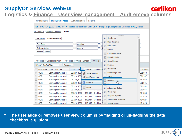#### **SupplyOn Services WebEDI cerlikon Logistics & Finance – User view management – Add/remove columns** My SupplyOn SupplyOn Services Administration | Log Out

| TEST SYSTEM (QAS - 2013-B): Acceptance Oerlikon OMF OBA - Düspohl (Acceptance Oerlikon QAS), Sonja                 |                         |                              |   |          |
|--------------------------------------------------------------------------------------------------------------------|-------------------------|------------------------------|---|----------|
| My SupplyOn > Logistics & Finance > Orders                                                                         |                         |                              |   |          |
|                                                                                                                    |                         | $ \leftarrow$ $\sim$         |   |          |
| Advanced Search<br>Quick Search                                                                                    | ⊽                       | Org. Buyer                   | ▲ |          |
| v                                                                                                                  | V                       | <b>Plant Customer</b>        |   | e        |
| ×<br><b>Plant Code</b><br>contains                                                                                 | ⊽                       | <b>Plant Code</b>            |   |          |
| v<br>×<br><b>Delivery Status</b><br>equal to                                                                       | V                       | Planner                      |   |          |
| Search<br>Reset                                                                                                    | ⊽                       | Consignee, Name              |   |          |
|                                                                                                                    | ⊽                       | <b>Unloading Point</b>       | Ξ |          |
| <b>Grouped by Unloading Point</b><br><b>Grouped by Article Number</b><br>Orders                                    | ⊽                       | Order Number                 |   |          |
| SupplyOn Def. View<br>v<br>Manage                                                                                  | $\overline{\mathsf{v}}$ | Positions                    |   |          |
| Org. Buver Plant Customer<br>Plant Code     Planner<br>Consigne                                                    | ⊽                       | <b>Order Date</b>            |   | r Number |
| <b>OER</b><br>Barmag Remscheid<br>DE320_100  A L Sort Ascending                                                    | ⊽                       | Last Change Date             |   | 382968   |
| <b>OER</b><br>Barmag Remscheid<br>DE320 100<br>$\left[\begin{array}{cc} Z \\ A \end{array}\right]$ Sort Descending |                         | $\boxed{7}$ Status           |   | 382967   |
| Barmag Remscheid<br>0ER<br>DE320 100                                                                               |                         | Order ID                     |   | 382966   |
| Columns<br>DE320_100   III<br>Barmag Remscheid<br><b>OER</b>                                                       | $\mathbb{R}$            | ᠷᡰ᠇<br>History               |   | 382965   |
| <b>OER</b><br>Barmag Remscheid<br>DE320 100<br>Filters                                                             | V                       | <b>Attachment Status</b>     |   | 382951   |
| 0ER<br>Barmag Remscheid<br>DE320 1006<br><u>UCHINUIT L</u>                                                         |                         | Order Type                   |   | 382951   |
| Barmag Remscheid<br>DE320 1000<br>110:017<br><b>OER</b><br>Oerlikon B                                              | $\blacktriangledown$    |                              |   | 101830   |
| Oerlikon E<br>Barmag Remscheid<br>DE320 1000<br>110:017<br>OER                                                     | V                       | Respond-by date              |   | 101828   |
| <b>OER</b><br>Barmag Remscheid<br>DE320 1000<br>110:017<br>Oerlikon E                                              |                         | <b>Attachments Available</b> |   | 101827   |
| <b>OER</b><br>Barmag Remscheid<br>DE320 1000<br>110:017                                                            | Oerlikon B              | Supplier Name                |   | 101824   |

**The user adds or removes user view columns by flagging or un-flagging the data checkbox, e.g. plant**

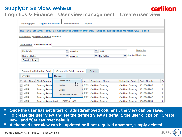

#### **Logistics & Finance – User view management – Create user view**

|                                                                                              | <b>My SupplyOn</b>                                                                                 | <b>SupplyOn Services</b>          |                      |   | Administration                   | Log Out |        |   |                 |  |  |                        |                     |                      |
|----------------------------------------------------------------------------------------------|----------------------------------------------------------------------------------------------------|-----------------------------------|----------------------|---|----------------------------------|---------|--------|---|-----------------|--|--|------------------------|---------------------|----------------------|
|                                                                                              | TEST SYSTEM (QAS - 2013-B): Acceptance Oerlikon OMF OBA - Düspohl (Acceptance Oerlikon QAS), Sonja |                                   |                      |   |                                  |         |        |   |                 |  |  |                        |                     |                      |
|                                                                                              | My SupplyOn > Logistics & Finance > Orders                                                         |                                   |                      |   |                                  |         |        |   |                 |  |  |                        |                     |                      |
|                                                                                              | <b>Advanced Search</b><br><b>Quick Search</b>                                                      |                                   |                      |   |                                  |         |        |   |                 |  |  |                        |                     |                      |
|                                                                                              | <b>Plant Code</b>                                                                                  |                                   |                      | ▾ | contains                         |         |        | v | 1000            |  |  |                        | Delete line         |                      |
| Add line   Delete line<br>v<br>v<br>Not fulfilled<br><b>Delivery Status</b><br>v<br>equal to |                                                                                                    |                                   |                      |   |                                  |         |        |   |                 |  |  |                        |                     |                      |
|                                                                                              | Reset<br>Search                                                                                    |                                   |                      |   |                                  |         |        |   |                 |  |  |                        |                     |                      |
|                                                                                              |                                                                                                    |                                   |                      |   |                                  |         |        |   |                 |  |  |                        |                     |                      |
|                                                                                              |                                                                                                    | <b>Grouped by Unloading Point</b> |                      |   | <b>Grouped by Article Number</b> |         | Orders |   |                 |  |  |                        |                     |                      |
|                                                                                              | My View                                                                                            | v                                 | Manage v             |   |                                  |         |        |   |                 |  |  |                        |                     |                      |
|                                                                                              |                                                                                                    | Org. Buyer Plant Customer         | Create new           |   |                                  | anner   |        |   | Consignee, Name |  |  | <b>Unloading Point</b> | <b>Order Number</b> | Pd                   |
|                                                                                              | <b>OER</b>                                                                                         | Barmag Rems                       | Update               |   | $4\mu$                           | :ESC    |        |   | Oerlikon Barmag |  |  | Oerlikon Barmag        | 4510382968          | 3                    |
|                                                                                              | <b>OER</b>                                                                                         | Barmag Rems                       | <b>Delete</b>        |   |                                  | :ESC    |        |   | Oerlikon Barmag |  |  | Oerlikon Barmag        | 4510382967          | 3                    |
|                                                                                              | <b>OER</b>                                                                                         | <b>Barmag Remso</b>               | Set as/unset default |   |                                  | :ESC    |        |   | Oerlikon Barmag |  |  | Oerlikon Barmag        | 4510382966          | 3                    |
|                                                                                              | <b>OER</b>                                                                                         | Barmag Remse                      |                      |   |                                  | ESC     |        |   | Oerlikon Barmag |  |  | Oerlikon Barmag        | 4510382965          | 3                    |
| $\blacksquare$                                                                               | $\triangle$ ER                                                                                     | Rarman Ramechaid                  |                      |   | DE320 1000                       |         |        |   | Oerlikon Barman |  |  | Oerlikon Barman        | 4583382051          | $\blacktriangleleft$ |

- **Once the user has set filters or added/removed columns , the view can be saved**
- To create the user view and set the defined view as default, the user clicks on "Create **new" and "Set as/unset default**
- **A changed user view can be updated or if not required anymore, simply deleted**

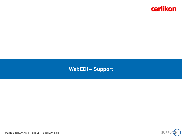

# **WebEDI – Support**



© 2015 SupplyOn AG | Page 11 | SupplyOn Intern